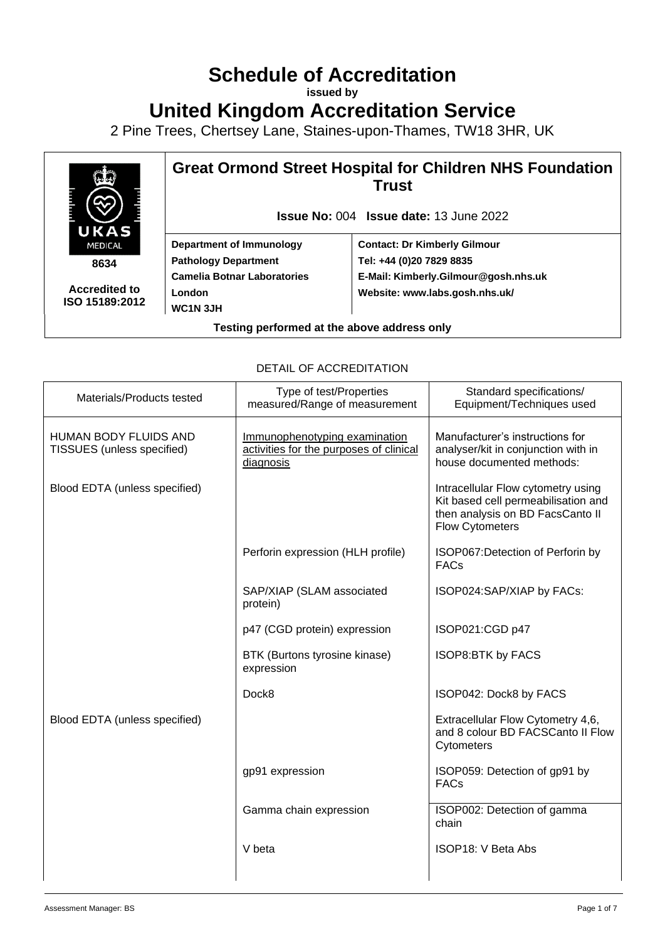# **Schedule of Accreditation**

**issued by**

**United Kingdom Accreditation Service**

2 Pine Trees, Chertsey Lane, Staines-upon-Thames, TW18 3HR, UK



**Accredited to ISO 15189:2012** **Great Ormond Street Hospital for Children NHS Foundation Trust**

**Issue No:** 004 **Issue date:** 13 June 2022

**Department of Immunology Pathology Department Camelia Botnar Laboratories London WC1N 3JH**

**Contact: Dr Kimberly Gilmour Tel: +44 (0)20 7829 8835 E-Mail: [Kimberly.Gilmour@gosh.nhs.uk](mailto:Kimberly.Gilmour@gosh.nhs.uk) Website: www.labs.gosh.nhs.uk/**

**Testing performed at the above address only**

| Materials/Products tested                           | Type of test/Properties<br>measured/Range of measurement                              | Standard specifications/<br>Equipment/Techniques used                                                                                   |
|-----------------------------------------------------|---------------------------------------------------------------------------------------|-----------------------------------------------------------------------------------------------------------------------------------------|
| HUMAN BODY FLUIDS AND<br>TISSUES (unless specified) | Immunophenotyping examination<br>activities for the purposes of clinical<br>diagnosis | Manufacturer's instructions for<br>analyser/kit in conjunction with in<br>house documented methods:                                     |
| Blood EDTA (unless specified)                       |                                                                                       | Intracellular Flow cytometry using<br>Kit based cell permeabilisation and<br>then analysis on BD FacsCanto II<br><b>Flow Cytometers</b> |
|                                                     | Perforin expression (HLH profile)                                                     | ISOP067: Detection of Perforin by<br><b>FACs</b>                                                                                        |
|                                                     | SAP/XIAP (SLAM associated<br>protein)                                                 | ISOP024:SAP/XIAP by FACs:                                                                                                               |
|                                                     | p47 (CGD protein) expression                                                          | ISOP021:CGD p47                                                                                                                         |
|                                                     | BTK (Burtons tyrosine kinase)<br>expression                                           | ISOP8:BTK by FACS                                                                                                                       |
|                                                     | Dock <sub>8</sub>                                                                     | ISOP042: Dock8 by FACS                                                                                                                  |
| Blood EDTA (unless specified)                       |                                                                                       | Extracellular Flow Cytometry 4,6,<br>and 8 colour BD FACSCanto II Flow<br>Cytometers                                                    |
|                                                     | gp91 expression                                                                       | ISOP059: Detection of gp91 by<br><b>FACs</b>                                                                                            |
|                                                     | Gamma chain expression                                                                | ISOP002: Detection of gamma<br>chain                                                                                                    |
|                                                     | V beta                                                                                | ISOP18: V Beta Abs                                                                                                                      |
|                                                     |                                                                                       |                                                                                                                                         |

#### DETAIL OF ACCREDITATION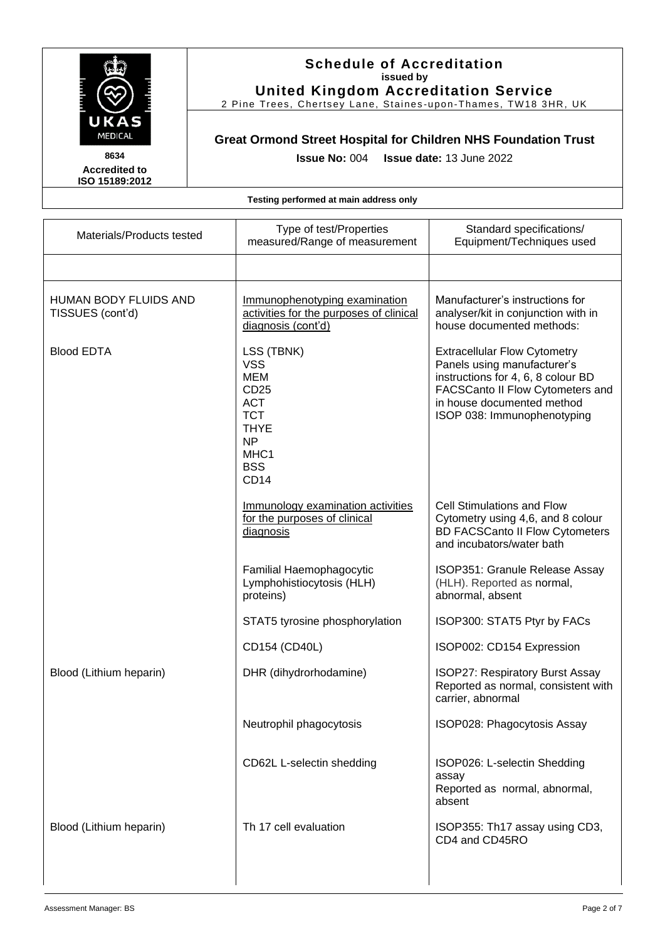

2 Pine Trees, Chertsey Lane, Staines -upon -Thames, TW18 3HR, UK

# **Great Ormond Street Hospital for Children NHS Foundation Trust**

**Issue No:** 004 **Issue date:** 13 June 2022

**Accredited to ISO 15189:2012** 

| Materials/Products tested                 | Type of test/Properties<br>measured/Range of measurement                                                                                  | Standard specifications/<br>Equipment/Techniques used                                                                                                                                                     |
|-------------------------------------------|-------------------------------------------------------------------------------------------------------------------------------------------|-----------------------------------------------------------------------------------------------------------------------------------------------------------------------------------------------------------|
|                                           |                                                                                                                                           |                                                                                                                                                                                                           |
| HUMAN BODY FLUIDS AND<br>TISSUES (cont'd) | Immunophenotyping examination<br>activities for the purposes of clinical<br>diagnosis (cont'd)                                            | Manufacturer's instructions for<br>analyser/kit in conjunction with in<br>house documented methods:                                                                                                       |
| <b>Blood EDTA</b>                         | LSS (TBNK)<br><b>VSS</b><br>MEM<br>CD <sub>25</sub><br><b>ACT</b><br><b>TCT</b><br><b>THYE</b><br><b>NP</b><br>MHC1<br><b>BSS</b><br>CD14 | <b>Extracellular Flow Cytometry</b><br>Panels using manufacturer's<br>instructions for 4, 6, 8 colour BD<br>FACSCanto II Flow Cytometers and<br>in house documented method<br>ISOP 038: Immunophenotyping |
|                                           | Immunology examination activities<br>for the purposes of clinical<br>diagnosis                                                            | <b>Cell Stimulations and Flow</b><br>Cytometry using 4,6, and 8 colour<br><b>BD FACSCanto II Flow Cytometers</b><br>and incubators/water bath                                                             |
|                                           | Familial Haemophagocytic<br>Lymphohistiocytosis (HLH)<br>proteins)                                                                        | ISOP351: Granule Release Assay<br>(HLH). Reported as normal,<br>abnormal, absent                                                                                                                          |
|                                           | STAT5 tyrosine phosphorylation                                                                                                            | ISOP300: STAT5 Ptyr by FACs                                                                                                                                                                               |
|                                           | CD154 (CD40L)                                                                                                                             | ISOP002: CD154 Expression                                                                                                                                                                                 |
| Blood (Lithium heparin)                   | DHR (dihydrorhodamine)                                                                                                                    | ISOP27: Respiratory Burst Assay<br>Reported as normal, consistent with<br>carrier, abnormal                                                                                                               |
|                                           | Neutrophil phagocytosis                                                                                                                   | ISOP028: Phagocytosis Assay                                                                                                                                                                               |
|                                           | CD62L L-selectin shedding                                                                                                                 | ISOP026: L-selectin Shedding<br>assay<br>Reported as normal, abnormal,<br>absent                                                                                                                          |
| Blood (Lithium heparin)                   | Th 17 cell evaluation                                                                                                                     | ISOP355: Th17 assay using CD3,<br>CD4 and CD45RO                                                                                                                                                          |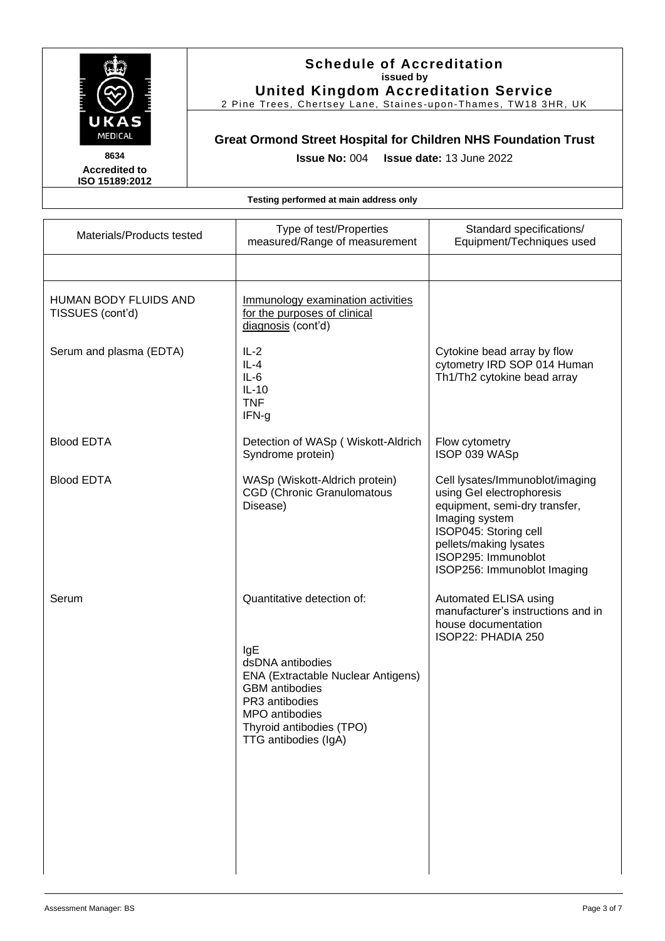

2 Pine Trees, Chertsey Lane, Staines -upon -Thames, TW18 3HR, UK

# **Great Ormond Street Hospital for Children NHS Foundation Trust**

**Issue No:** 004 **Issue date:** 13 June 2022

| Materials/Products tested                 | Type of test/Properties<br>measured/Range of measurement                                                                                                                                                            | Standard specifications/<br>Equipment/Techniques used                                                                                                                                                                    |
|-------------------------------------------|---------------------------------------------------------------------------------------------------------------------------------------------------------------------------------------------------------------------|--------------------------------------------------------------------------------------------------------------------------------------------------------------------------------------------------------------------------|
|                                           |                                                                                                                                                                                                                     |                                                                                                                                                                                                                          |
| HUMAN BODY FLUIDS AND<br>TISSUES (cont'd) | Immunology examination activities<br>for the purposes of clinical<br>diagnosis (cont'd)                                                                                                                             |                                                                                                                                                                                                                          |
| Serum and plasma (EDTA)                   | $IL-2$<br>$IL-4$<br>$IL-6$<br>$IL-10$<br><b>TNF</b><br>IFN-g                                                                                                                                                        | Cytokine bead array by flow<br>cytometry IRD SOP 014 Human<br>Th1/Th2 cytokine bead array                                                                                                                                |
| <b>Blood EDTA</b>                         | Detection of WASp (Wiskott-Aldrich<br>Syndrome protein)                                                                                                                                                             | Flow cytometry<br>ISOP 039 WASp                                                                                                                                                                                          |
| <b>Blood EDTA</b>                         | WASp (Wiskott-Aldrich protein)<br><b>CGD (Chronic Granulomatous</b><br>Disease)                                                                                                                                     | Cell lysates/Immunoblot/imaging<br>using Gel electrophoresis<br>equipment, semi-dry transfer,<br>Imaging system<br>ISOP045: Storing cell<br>pellets/making lysates<br>ISOP295: Immunoblot<br>ISOP256: Immunoblot Imaging |
| Serum                                     | Quantitative detection of:<br>IgE<br>dsDNA antibodies<br><b>ENA (Extractable Nuclear Antigens)</b><br><b>GBM</b> antibodies<br>PR3 antibodies<br>MPO antibodies<br>Thyroid antibodies (TPO)<br>TTG antibodies (IgA) | Automated ELISA using<br>manufacturer's instructions and in<br>house documentation<br>ISOP22: PHADIA 250                                                                                                                 |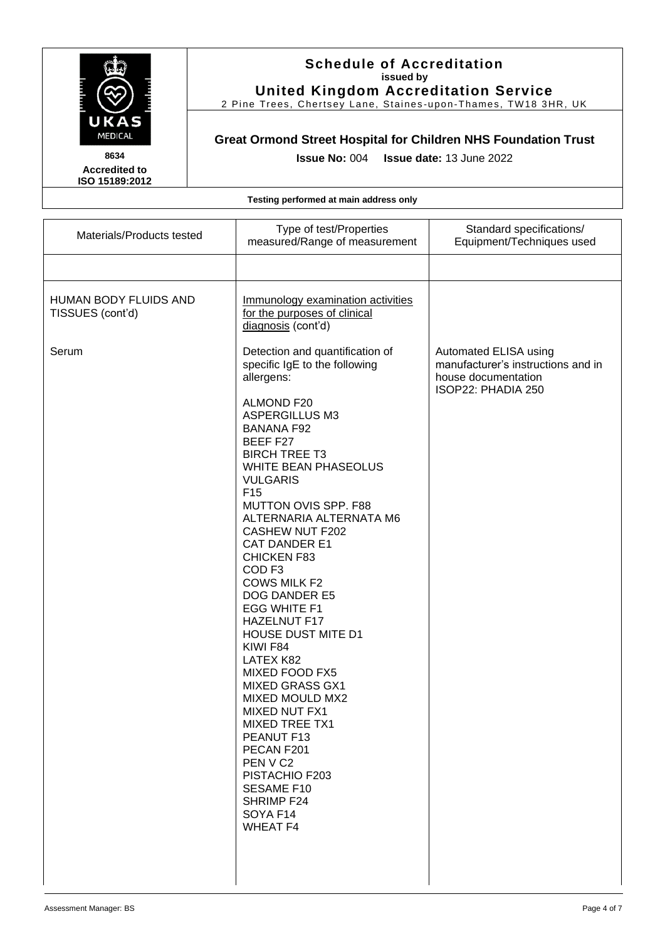

2 Pine Trees, Chertsey Lane, Staines -upon -Thames, TW18 3HR, UK

## **Great Ormond Street Hospital for Children NHS Foundation Trust**

**Issue No:** 004 **Issue date:** 13 June 2022

**Accredited to ISO 15189:2012** 

| Materials/Products tested                 | Type of test/Properties<br>measured/Range of measurement                                                                                                                                                                                                                                                                                                                                                                                                                                                                                                                                                                                                                                                                                                                                                                     | Standard specifications/<br>Equipment/Techniques used                                                    |
|-------------------------------------------|------------------------------------------------------------------------------------------------------------------------------------------------------------------------------------------------------------------------------------------------------------------------------------------------------------------------------------------------------------------------------------------------------------------------------------------------------------------------------------------------------------------------------------------------------------------------------------------------------------------------------------------------------------------------------------------------------------------------------------------------------------------------------------------------------------------------------|----------------------------------------------------------------------------------------------------------|
|                                           |                                                                                                                                                                                                                                                                                                                                                                                                                                                                                                                                                                                                                                                                                                                                                                                                                              |                                                                                                          |
| HUMAN BODY FLUIDS AND<br>TISSUES (cont'd) | Immunology examination activities<br>for the purposes of clinical<br>diagnosis (cont'd)                                                                                                                                                                                                                                                                                                                                                                                                                                                                                                                                                                                                                                                                                                                                      |                                                                                                          |
| Serum                                     | Detection and quantification of<br>specific IgE to the following<br>allergens:<br><b>ALMOND F20</b><br><b>ASPERGILLUS M3</b><br><b>BANANA F92</b><br>BEEF F27<br><b>BIRCH TREE T3</b><br><b>WHITE BEAN PHASEOLUS</b><br><b>VULGARIS</b><br>F <sub>15</sub><br>MUTTON OVIS SPP. F88<br>ALTERNARIA ALTERNATA M6<br><b>CASHEW NUT F202</b><br><b>CAT DANDER E1</b><br><b>CHICKEN F83</b><br>COD <sub>F3</sub><br><b>COWS MILK F2</b><br><b>DOG DANDER E5</b><br><b>EGG WHITE F1</b><br><b>HAZELNUT F17</b><br><b>HOUSE DUST MITE D1</b><br>KIWI F84<br>LATEX K82<br>MIXED FOOD FX5<br><b>MIXED GRASS GX1</b><br><b>MIXED MOULD MX2</b><br><b>MIXED NUT FX1</b><br><b>MIXED TREE TX1</b><br>PEANUT F13<br>PECAN F201<br>PEN V C <sub>2</sub><br>PISTACHIO F203<br><b>SESAME F10</b><br>SHRIMP F24<br>SOYA F14<br><b>WHEAT F4</b> | Automated ELISA using<br>manufacturer's instructions and in<br>house documentation<br>ISOP22: PHADIA 250 |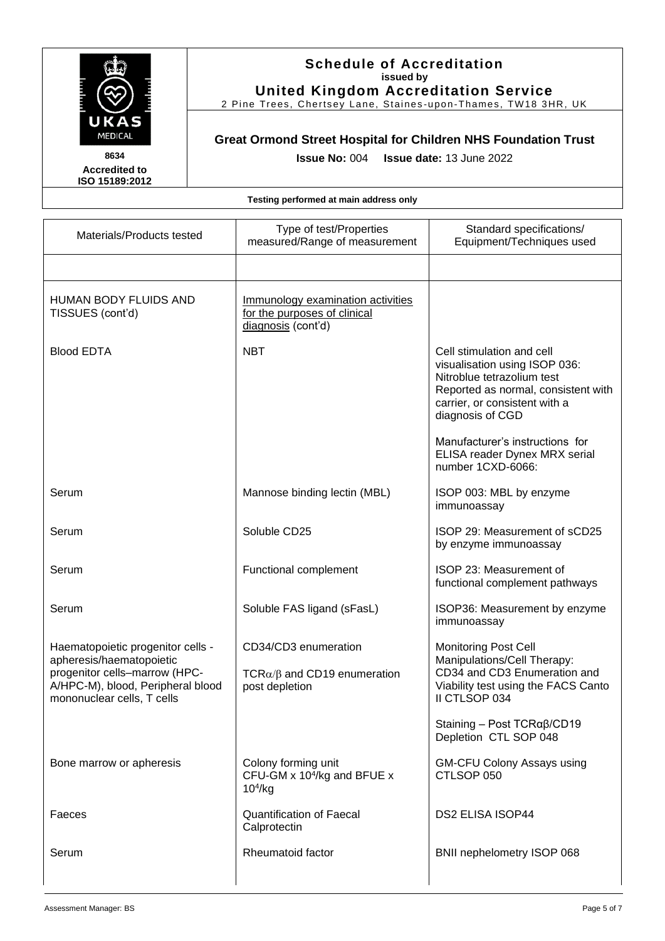

2 Pine Trees, Chertsey Lane, Staines -upon -Thames, TW18 3HR, UK

# **Great Ormond Street Hospital for Children NHS Foundation Trust**

**Accredited to ISO 15189:2012**  **Issue No:** 004 **Issue date:** 13 June 2022

| Materials/Products tested                                                                                                                                         | Type of test/Properties<br>measured/Range of measurement                                | Standard specifications/<br>Equipment/Techniques used                                                                                                                                                                   |
|-------------------------------------------------------------------------------------------------------------------------------------------------------------------|-----------------------------------------------------------------------------------------|-------------------------------------------------------------------------------------------------------------------------------------------------------------------------------------------------------------------------|
|                                                                                                                                                                   |                                                                                         |                                                                                                                                                                                                                         |
| <b>HUMAN BODY FLUIDS AND</b><br>TISSUES (cont'd)                                                                                                                  | Immunology examination activities<br>for the purposes of clinical<br>diagnosis (cont'd) |                                                                                                                                                                                                                         |
| <b>Blood EDTA</b>                                                                                                                                                 | <b>NBT</b>                                                                              | Cell stimulation and cell<br>visualisation using ISOP 036:<br>Nitroblue tetrazolium test<br>Reported as normal, consistent with<br>carrier, or consistent with a<br>diagnosis of CGD<br>Manufacturer's instructions for |
|                                                                                                                                                                   |                                                                                         | ELISA reader Dynex MRX serial<br>number 1CXD-6066:                                                                                                                                                                      |
| Serum                                                                                                                                                             | Mannose binding lectin (MBL)                                                            | ISOP 003: MBL by enzyme<br>immunoassay                                                                                                                                                                                  |
| Serum                                                                                                                                                             | Soluble CD25                                                                            | ISOP 29: Measurement of sCD25<br>by enzyme immunoassay                                                                                                                                                                  |
| Serum                                                                                                                                                             | Functional complement                                                                   | ISOP 23: Measurement of<br>functional complement pathways                                                                                                                                                               |
| Serum                                                                                                                                                             | Soluble FAS ligand (sFasL)                                                              | ISOP36: Measurement by enzyme<br>immunoassay                                                                                                                                                                            |
| Haematopoietic progenitor cells -<br>apheresis/haematopoietic<br>progenitor cells-marrow (HPC-<br>A/HPC-M), blood, Peripheral blood<br>mononuclear cells, T cells | CD34/CD3 enumeration<br>TCR $\alpha/\beta$ and CD19 enumeration<br>post depletion       | <b>Monitoring Post Cell</b><br>Manipulations/Cell Therapy:<br>CD34 and CD3 Enumeration and<br>Viability test using the FACS Canto<br>II CTLSOP 034                                                                      |
|                                                                                                                                                                   |                                                                                         | Staining - Post $TCR\alpha\beta$ /CD19<br>Depletion CTL SOP 048                                                                                                                                                         |
| Bone marrow or apheresis                                                                                                                                          | Colony forming unit<br>CFU-GM x 10 <sup>4</sup> /kg and BFUE x<br>10 <sup>4</sup> /kg   | <b>GM-CFU Colony Assays using</b><br>CTLSOP 050                                                                                                                                                                         |
| Faeces                                                                                                                                                            | <b>Quantification of Faecal</b><br>Calprotectin                                         | <b>DS2 ELISA ISOP44</b>                                                                                                                                                                                                 |
| Serum                                                                                                                                                             | Rheumatoid factor                                                                       | BNII nephelometry ISOP 068                                                                                                                                                                                              |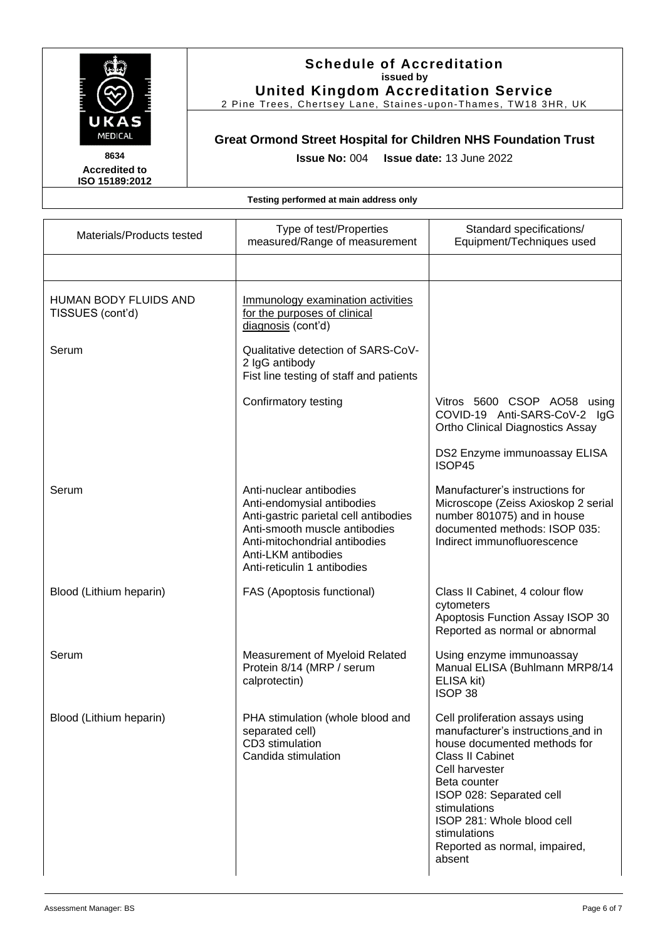

**Accredited to ISO 15189:2012** 

## **Schedule of Accreditation issued by United Kingdom Accreditation Service**

2 Pine Trees, Chertsey Lane, Staines -upon -Thames, TW18 3HR, UK

# **Great Ormond Street Hospital for Children NHS Foundation Trust**

**Issue No:** 004 **Issue date:** 13 June 2022

| Materials/Products tested                        | Type of test/Properties<br>measured/Range of measurement                                                                                                                                                               | Standard specifications/<br>Equipment/Techniques used                                                                                                                                                                                                                                                   |
|--------------------------------------------------|------------------------------------------------------------------------------------------------------------------------------------------------------------------------------------------------------------------------|---------------------------------------------------------------------------------------------------------------------------------------------------------------------------------------------------------------------------------------------------------------------------------------------------------|
|                                                  |                                                                                                                                                                                                                        |                                                                                                                                                                                                                                                                                                         |
| <b>HUMAN BODY FLUIDS AND</b><br>TISSUES (cont'd) | Immunology examination activities<br>for the purposes of clinical<br>diagnosis (cont'd)                                                                                                                                |                                                                                                                                                                                                                                                                                                         |
| Serum                                            | Qualitative detection of SARS-CoV-<br>2 IgG antibody<br>Fist line testing of staff and patients                                                                                                                        |                                                                                                                                                                                                                                                                                                         |
|                                                  | Confirmatory testing                                                                                                                                                                                                   | Vitros 5600 CSOP AO58 using<br>COVID-19 Anti-SARS-CoV-2 IgG<br>Ortho Clinical Diagnostics Assay                                                                                                                                                                                                         |
|                                                  |                                                                                                                                                                                                                        | DS2 Enzyme immunoassay ELISA<br>ISOP45                                                                                                                                                                                                                                                                  |
| Serum                                            | Anti-nuclear antibodies<br>Anti-endomysial antibodies<br>Anti-gastric parietal cell antibodies<br>Anti-smooth muscle antibodies<br>Anti-mitochondrial antibodies<br>Anti-LKM antibodies<br>Anti-reticulin 1 antibodies | Manufacturer's instructions for<br>Microscope (Zeiss Axioskop 2 serial<br>number 801075) and in house<br>documented methods: ISOP 035:<br>Indirect immunofluorescence                                                                                                                                   |
| Blood (Lithium heparin)                          | FAS (Apoptosis functional)                                                                                                                                                                                             | Class II Cabinet, 4 colour flow<br>cytometers<br>Apoptosis Function Assay ISOP 30<br>Reported as normal or abnormal                                                                                                                                                                                     |
| Serum                                            | Measurement of Myeloid Related<br>Protein 8/14 (MRP / serum<br>calprotectin)                                                                                                                                           | Using enzyme immunoassay<br>Manual ELISA (Buhlmann MRP8/14<br>ELISA kit)<br>ISOP <sub>38</sub>                                                                                                                                                                                                          |
| Blood (Lithium heparin)                          | PHA stimulation (whole blood and<br>separated cell)<br>CD3 stimulation<br>Candida stimulation                                                                                                                          | Cell proliferation assays using<br>manufacturer's instructions_and in<br>house documented methods for<br><b>Class II Cabinet</b><br>Cell harvester<br>Beta counter<br>ISOP 028: Separated cell<br>stimulations<br>ISOP 281: Whole blood cell<br>stimulations<br>Reported as normal, impaired,<br>absent |